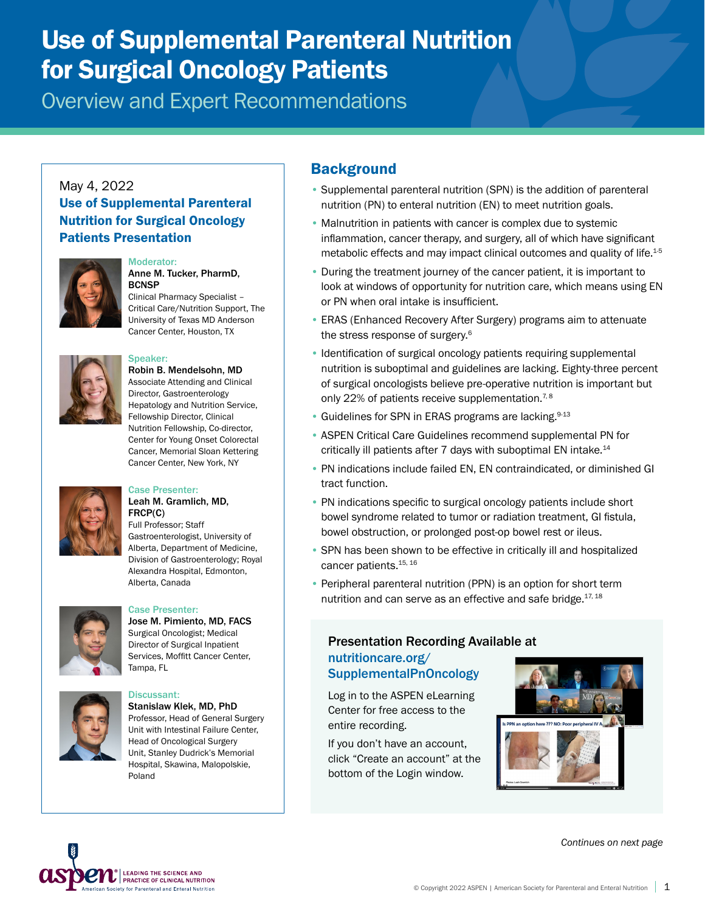# Use of Supplemental Parenteral Nutrition for Surgical Oncology Patients

Overview and Expert Recommendations

#### May 4, 2022 Use of Supplemental Parenteral Nutrition for Surgical Oncology Patients Presentation



#### Moderator: Anne M. Tucker, PharmD,

**BCNSP** Clinical Pharmacy Specialist – Critical Care/Nutrition Support, The University of Texas MD Anderson Cancer Center, Houston, TX



## Speaker:

Robin B. Mendelsohn, MD Associate Attending and Clinical Director, Gastroenterology Hepatology and Nutrition Service, Fellowship Director, Clinical Nutrition Fellowship, Co-director, Center for Young Onset Colorectal Cancer, Memorial Sloan Kettering Cancer Center, New York, NY



#### Case Presenter: Leah M. Gramlich, MD, FRCP(C)

Full Professor; Staff Gastroenterologist, University of Alberta, Department of Medicine, Division of Gastroenterology; Royal Alexandra Hospital, Edmonton, Alberta, Canada



### Case Presenter:

Jose M. Pimiento, MD, FACS Surgical Oncologist; Medical Director of Surgical Inpatient Services, Moffitt Cancer Center, Tampa, FL



#### Discussant: Stanislaw Klek, MD, PhD Professor, Head of General Surgery Unit with Intestinal Failure Center, Head of Oncological Surgery Unit, Stanley Dudrick's Memorial Hospital, Skawina, Malopolskie, Poland

## **Background**

- Supplemental parenteral nutrition (SPN) is the addition of parenteral nutrition (PN) to enteral nutrition (EN) to meet nutrition goals.
- Malnutrition in patients with cancer is complex due to systemic inflammation, cancer therapy, and surgery, all of which have significant metabolic effects and may impact clinical outcomes and quality of life.<sup>1-5</sup>
- During the treatment journey of the cancer patient, it is important to look at windows of opportunity for nutrition care, which means using EN or PN when oral intake is insufficient.
- ERAS (Enhanced Recovery After Surgery) programs aim to attenuate the stress response of surgery.<sup>6</sup>
- Identification of surgical oncology patients requiring supplemental nutrition is suboptimal and guidelines are lacking. Eighty-three percent of surgical oncologists believe pre-operative nutrition is important but only 22% of patients receive supplementation.<sup>7,8</sup>
- Guidelines for SPN in ERAS programs are lacking.<sup>9-13</sup>
- ASPEN Critical Care Guidelines recommend supplemental PN for critically ill patients after 7 days with suboptimal EN intake.<sup>14</sup>
- PN indications include failed EN, EN contraindicated, or diminished GI tract function.
- PN indications specific to surgical oncology patients include short bowel syndrome related to tumor or radiation treatment, GI fistula, bowel obstruction, or prolonged post-op bowel rest or ileus.
- SPN has been shown to be effective in critically ill and hospitalized cancer patients.<sup>15, 16</sup>
- Peripheral parenteral nutrition (PPN) is an option for short term nutrition and can serve as an effective and safe bridge.<sup>17, 18</sup>

#### Presentation Recording Available at [nutritioncare.org/](http://nutritioncare.org/SupplementalPnOncology) [SupplementalPnOncology](http://nutritioncare.org/SupplementalPnOncology)

Log in to the ASPEN eLearning Center for free access to the entire recording.

If you don't have an account, click "Create an account" at the bottom of the Login window.



*Continues on next page*